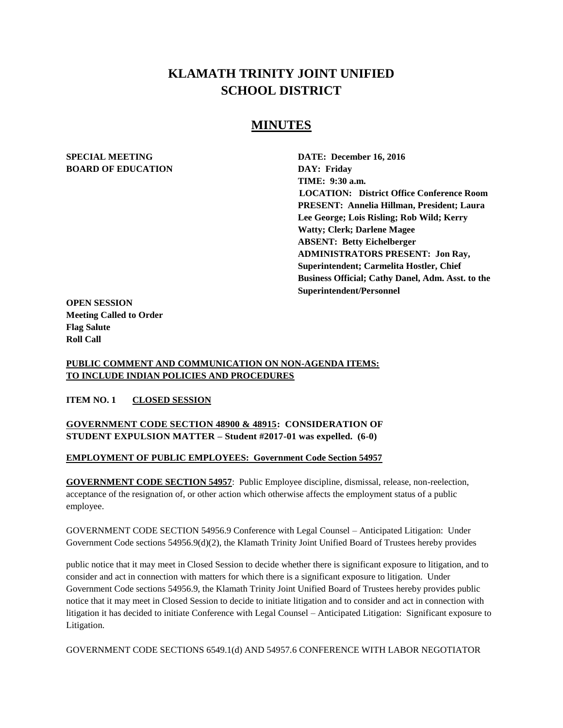# **KLAMATH TRINITY JOINT UNIFIED SCHOOL DISTRICT**

# **MINUTES**

# **BOARD OF EDUCATION DAY: Friday**

**SPECIAL MEETING DATE: December 16, 2016 TIME: 9:30 a.m. LOCATION: District Office Conference Room PRESENT: Annelia Hillman, President; Laura Lee George; Lois Risling; Rob Wild; Kerry Watty; Clerk; Darlene Magee ABSENT: Betty Eichelberger ADMINISTRATORS PRESENT: Jon Ray, Superintendent; Carmelita Hostler, Chief Business Official; Cathy Danel, Adm. Asst. to the Superintendent/Personnel** 

**OPEN SESSION Meeting Called to Order Flag Salute Roll Call**

#### **PUBLIC COMMENT AND COMMUNICATION ON NON-AGENDA ITEMS: TO INCLUDE INDIAN POLICIES AND PROCEDURES**

**ITEM NO. 1 CLOSED SESSION**

# **GOVERNMENT CODE SECTION 48900 & 48915: CONSIDERATION OF STUDENT EXPULSION MATTER – Student #2017-01 was expelled. (6-0)**

#### **EMPLOYMENT OF PUBLIC EMPLOYEES: Government Code Section 54957**

**GOVERNMENT CODE SECTION 54957**: Public Employee discipline, dismissal, release, non-reelection, acceptance of the resignation of, or other action which otherwise affects the employment status of a public employee.

GOVERNMENT CODE SECTION 54956.9 Conference with Legal Counsel – Anticipated Litigation: Under Government Code sections 54956.9(d)(2), the Klamath Trinity Joint Unified Board of Trustees hereby provides

public notice that it may meet in Closed Session to decide whether there is significant exposure to litigation, and to consider and act in connection with matters for which there is a significant exposure to litigation. Under Government Code sections 54956.9, the Klamath Trinity Joint Unified Board of Trustees hereby provides public notice that it may meet in Closed Session to decide to initiate litigation and to consider and act in connection with litigation it has decided to initiate Conference with Legal Counsel – Anticipated Litigation: Significant exposure to Litigation.

GOVERNMENT CODE SECTIONS 6549.1(d) AND 54957.6 CONFERENCE WITH LABOR NEGOTIATOR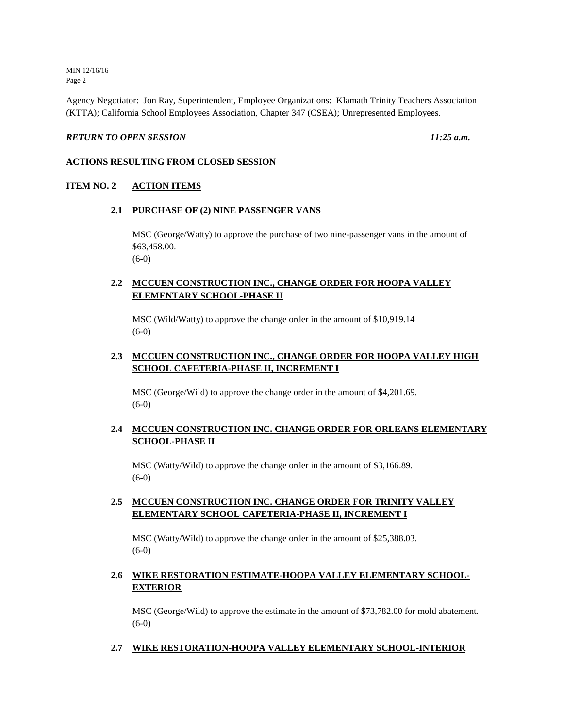MIN 12/16/16 Page 2

Agency Negotiator: Jon Ray, Superintendent, Employee Organizations: Klamath Trinity Teachers Association (KTTA); California School Employees Association, Chapter 347 (CSEA); Unrepresented Employees.

#### *RETURN TO OPEN SESSION 11:25 a.m.*

# **ACTIONS RESULTING FROM CLOSED SESSION**

#### **ITEM NO. 2 ACTION ITEMS**

#### **2.1 PURCHASE OF (2) NINE PASSENGER VANS**

MSC (George/Watty) to approve the purchase of two nine-passenger vans in the amount of \$63,458.00. (6-0)

# **2.2 MCCUEN CONSTRUCTION INC., CHANGE ORDER FOR HOOPA VALLEY ELEMENTARY SCHOOL-PHASE II**

MSC (Wild/Watty) to approve the change order in the amount of \$10,919.14 (6-0)

# **2.3 MCCUEN CONSTRUCTION INC., CHANGE ORDER FOR HOOPA VALLEY HIGH SCHOOL CAFETERIA-PHASE II, INCREMENT I**

MSC (George/Wild) to approve the change order in the amount of \$4,201.69. (6-0)

# **2.4 MCCUEN CONSTRUCTION INC. CHANGE ORDER FOR ORLEANS ELEMENTARY SCHOOL-PHASE II**

MSC (Watty/Wild) to approve the change order in the amount of \$3,166.89. (6-0)

### **2.5 MCCUEN CONSTRUCTION INC. CHANGE ORDER FOR TRINITY VALLEY ELEMENTARY SCHOOL CAFETERIA-PHASE II, INCREMENT I**

MSC (Watty/Wild) to approve the change order in the amount of \$25,388.03. (6-0)

### **2.6 WIKE RESTORATION ESTIMATE-HOOPA VALLEY ELEMENTARY SCHOOL-EXTERIOR**

MSC (George/Wild) to approve the estimate in the amount of \$73,782.00 for mold abatement.  $(6-0)$ 

#### **2.7 WIKE RESTORATION-HOOPA VALLEY ELEMENTARY SCHOOL-INTERIOR**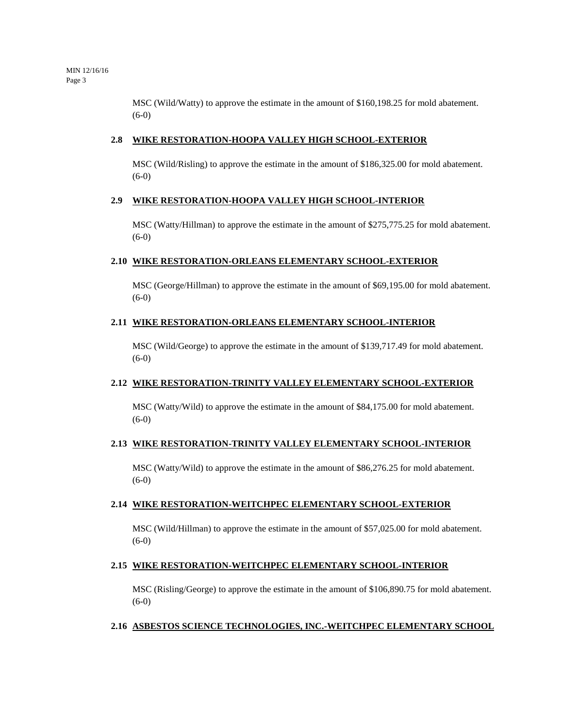MSC (Wild/Watty) to approve the estimate in the amount of \$160,198.25 for mold abatement. (6-0)

#### **2.8 WIKE RESTORATION-HOOPA VALLEY HIGH SCHOOL-EXTERIOR**

MSC (Wild/Risling) to approve the estimate in the amount of \$186,325.00 for mold abatement. (6-0)

#### **2.9 WIKE RESTORATION-HOOPA VALLEY HIGH SCHOOL-INTERIOR**

MSC (Watty/Hillman) to approve the estimate in the amount of \$275,775.25 for mold abatement. (6-0)

#### **2.10 WIKE RESTORATION-ORLEANS ELEMENTARY SCHOOL-EXTERIOR**

MSC (George/Hillman) to approve the estimate in the amount of \$69,195.00 for mold abatement. (6-0)

#### **2.11 WIKE RESTORATION-ORLEANS ELEMENTARY SCHOOL-INTERIOR**

MSC (Wild/George) to approve the estimate in the amount of \$139,717.49 for mold abatement. (6-0)

#### **2.12 WIKE RESTORATION-TRINITY VALLEY ELEMENTARY SCHOOL-EXTERIOR**

MSC (Watty/Wild) to approve the estimate in the amount of \$84,175.00 for mold abatement. (6-0)

#### **2.13 WIKE RESTORATION-TRINITY VALLEY ELEMENTARY SCHOOL-INTERIOR**

MSC (Watty/Wild) to approve the estimate in the amount of \$86,276.25 for mold abatement. (6-0)

#### **2.14 WIKE RESTORATION-WEITCHPEC ELEMENTARY SCHOOL-EXTERIOR**

MSC (Wild/Hillman) to approve the estimate in the amount of \$57,025.00 for mold abatement. (6-0)

#### **2.15 WIKE RESTORATION-WEITCHPEC ELEMENTARY SCHOOL-INTERIOR**

MSC (Risling/George) to approve the estimate in the amount of \$106,890.75 for mold abatement. (6-0)

#### **2.16 ASBESTOS SCIENCE TECHNOLOGIES, INC.-WEITCHPEC ELEMENTARY SCHOOL**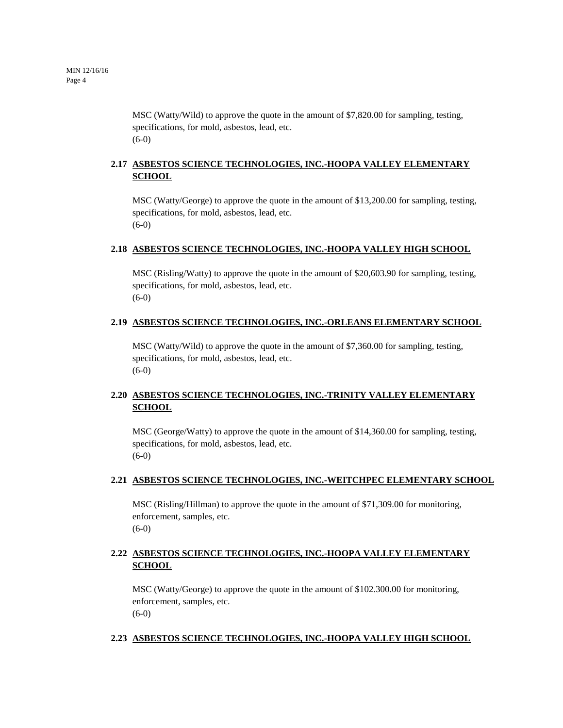MSC (Watty/Wild) to approve the quote in the amount of \$7,820.00 for sampling, testing, specifications, for mold, asbestos, lead, etc. (6-0)

# **2.17 ASBESTOS SCIENCE TECHNOLOGIES, INC.-HOOPA VALLEY ELEMENTARY SCHOOL**

MSC (Watty/George) to approve the quote in the amount of \$13,200.00 for sampling, testing, specifications, for mold, asbestos, lead, etc. (6-0)

#### **2.18 ASBESTOS SCIENCE TECHNOLOGIES, INC.-HOOPA VALLEY HIGH SCHOOL**

MSC (Risling/Watty) to approve the quote in the amount of \$20,603.90 for sampling, testing, specifications, for mold, asbestos, lead, etc. (6-0)

#### **2.19 ASBESTOS SCIENCE TECHNOLOGIES, INC.-ORLEANS ELEMENTARY SCHOOL**

MSC (Watty/Wild) to approve the quote in the amount of \$7,360.00 for sampling, testing, specifications, for mold, asbestos, lead, etc. (6-0)

# **2.20 ASBESTOS SCIENCE TECHNOLOGIES, INC.-TRINITY VALLEY ELEMENTARY SCHOOL**

MSC (George/Watty) to approve the quote in the amount of \$14,360.00 for sampling, testing, specifications, for mold, asbestos, lead, etc. (6-0)

#### **2.21 ASBESTOS SCIENCE TECHNOLOGIES, INC.-WEITCHPEC ELEMENTARY SCHOOL**

MSC (Risling/Hillman) to approve the quote in the amount of \$71,309.00 for monitoring, enforcement, samples, etc. (6-0)

# **2.22 ASBESTOS SCIENCE TECHNOLOGIES, INC.-HOOPA VALLEY ELEMENTARY SCHOOL**

MSC (Watty/George) to approve the quote in the amount of \$102.300.00 for monitoring, enforcement, samples, etc. (6-0)

#### **2.23 ASBESTOS SCIENCE TECHNOLOGIES, INC.-HOOPA VALLEY HIGH SCHOOL**